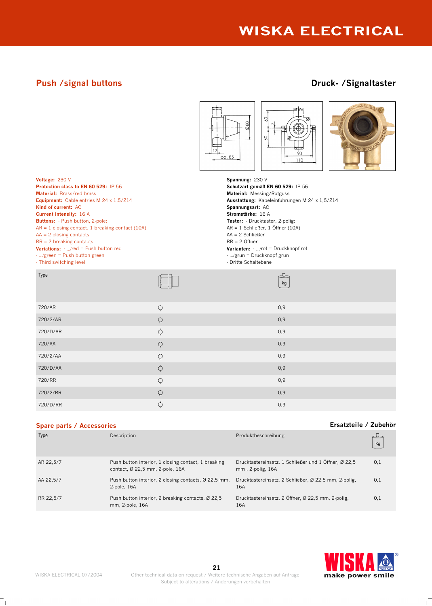# **Push /signal buttons Druck- /Signaltaster**



WISKA ELECTRICAL 07/2004



| Type      | Description                                                                            | Produktbeschreibung                                                      | kg  |
|-----------|----------------------------------------------------------------------------------------|--------------------------------------------------------------------------|-----|
| AR 22,5/7 | Push button interior, 1 closing contact, 1 breaking<br>contact, Ø 22,5 mm, 2-pole, 16A | Drucktastereinsatz, 1 Schließer und 1 Öffner, Ø 22,5<br>mm, 2-polig, 16A | 0,1 |
| AA 22,5/7 | Push button interior, 2 closing contacts, Ø 22,5 mm,<br>2-pole, 16A                    | Drucktastereinsatz, 2 Schließer, Ø 22,5 mm, 2 polig,<br>16A              | 0,1 |
| RR 22,5/7 | Push button interior, 2 breaking contacts, Ø 22,5<br>mm, 2-pole, 16A                   | Drucktastereinsatz, 2 Öffner, Ø 22,5 mm, 2-polig,<br>16A                 | 0,1 |

 $720/RR$  0,9  $720/2/\text{RR}$  . Only the contract of  $Q$  and  $Q$  and  $Q$  and  $Q$  and  $Q$  and  $Q$  and  $Q$  and  $Q$  and  $Q$  and  $Q$  and  $Q$  and  $Q$  and  $Q$  and  $Q$  and  $Q$  and  $Q$  and  $Q$  and  $Q$  and  $Q$  and  $Q$  and  $Q$  and  $Q$  and  $Q$  and 720/D/RR  $\bullet$  0,9

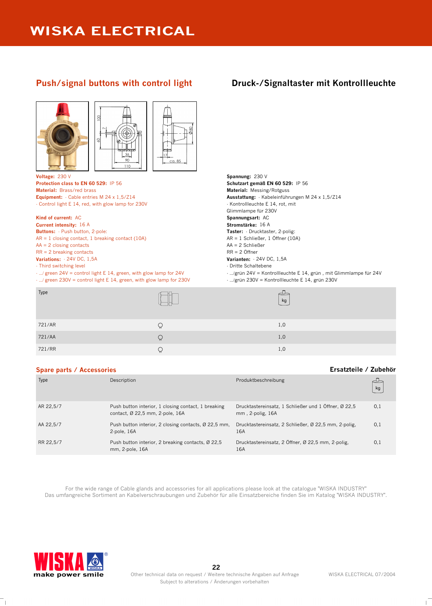## **Push/signal buttons with control light Druck-/Signaltaster mit Kontrollleuchte**





**Voltage:** 230 V **Spannung:** 230 V **Protection class to EN 60 529:** IP 56 **Schutzart gemäß EN 60 529:** IP 56 **Material:** Brass/red brass **Material:** Messing/Rotguss **Equipment:** - Cable entries M 24 x 1,5/Z14 - Control light E 14, red, with glow lamp for 230V

**Kind of current:** AC **Spannungsart:** AC **Spannungsart:** AC **Spannungsart:** AC **Stromstärke:** 16 A **Current intensity:** 16 A **Buttons:** - Push button, 2-pole:  $AR = 1$  closing contact, 1 breaking contact (10A)  $AA = 2$  closing contacts RR = 2 breaking contacts **Variations:** - 24V DC, 1,5A

- Third switching level

- .../ green 24V = control light E 14, green, with glow lamp for 24V

- .../ green 230V = control light E 14, green, with glow lamp for 230V

**Ausstattung:** - Kabeleinführungen M 24 x 1,5/Z14 - Kontrollleuchte E 14, rot, mit Glimmlampe für 230V **Taster:** - Drucktaster, 2-polig: AR = 1 Schließer, 1 Öffner (10A) AA = 2 Schließer RR = 2 Öffner **Varianten:** - 24V DC, 1,5A - Dritte Schaltebene - .../grün 24V = Kontrollleuchte E 14, grün , mit Glimmlampe für 24V

- .../grün 230V = Kontrollleuchte E 14, grün 230V

| Type   |   | kg  |
|--------|---|-----|
| 721/AR |   | 1,0 |
| 721/AA | Υ | 1,0 |
| 721/RR | ₩ | 1,0 |

## **Spare parts / Accessories Ersatzteile / Zubehör**

| Type      | Description                                                                            | Produktbeschreibung                                                      | kg  |
|-----------|----------------------------------------------------------------------------------------|--------------------------------------------------------------------------|-----|
| AR 22,5/7 | Push button interior, 1 closing contact, 1 breaking<br>contact, Ø 22,5 mm, 2-pole, 16A | Drucktastereinsatz, 1 Schließer und 1 Öffner, Ø 22,5<br>mm, 2-polig, 16A | 0,1 |
| AA 22,5/7 | Push button interior, 2 closing contacts, Ø 22,5 mm,<br>$2-pole, 16A$                  | Drucktastereinsatz, 2 Schließer, Ø 22,5 mm, 2 polig,<br>16A              | 0,1 |
| RR 22,5/7 | Push button interior, 2 breaking contacts, Ø 22,5<br>mm, 2-pole, 16A                   | Drucktastereinsatz, 2 Öffner, Ø 22,5 mm, 2-polig,<br>16A                 | 0,1 |

For the wide range of Cable glands and accessories for all applications please look at the catalogue "WISKA INDUSTRY" Das umfangreiche Sortiment an Kabelverschraubungen und Zubehör für alle Einsatzbereiche finden Sie im Katalog "WISKA INDUSTRY".

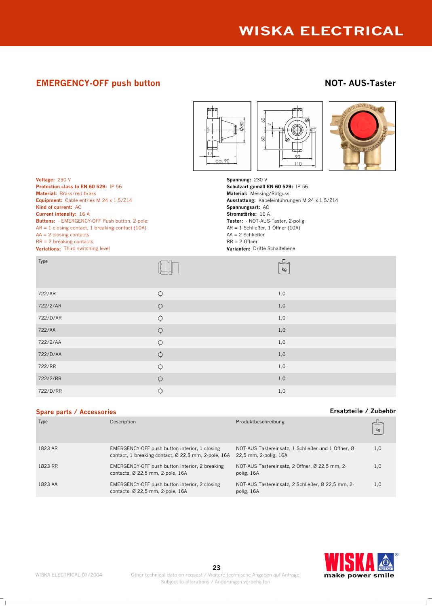# **EMERGENCY-OFF push button NOT- AUS-Taster**





**Protection class to EN 60 529: IP 56 Material:** Brass/red brass **Material:** Messing/Rotguss **Equipment:** Cable entries M 24 x 1,5/Z14 **Material:** Messing **Ausstattung:** Kabeleinführur **Kind of current:** AC **Spannungsart:** AC **Current intensity:** 16 A **Stromstärke:** 16 A **Buttons:** - EMERGENCY-OFF Push button, 2-pole:  $AR = 1$  closing contact, 1 breaking contact (10A)  $AA = 2$  closing contacts RR = 2 breaking contacts **Variations:** Third switching level **Varianten:** Dritte Schaltebene

**Voltage:** 230 V<br> **Protection class to EN 60 529:** IP 56<br> **Protection class to EN 60 529:** IP 56 **Equipment:** Cable entries M 24 x 1,5/Z14 **Ausstattung:** Kabeleinführungen M 24 x 1,5/Z14 **Taster:** - NOT-AUS-Taster, 2-polig: AR = 1 Schließer, 1 Öffner (10A) AA = 2 Schließer RR = 2 Öffner

| Type     |                     | kg    |
|----------|---------------------|-------|
| 722/AR   | $\varphi$           | $1,0$ |
| 722/2/AR | $\Omega$            | $1,0$ |
| 722/D/AR | $\varphi$           | $1,0$ |
| 722/AA   | $\hbox{$\bigcirc$}$ | $1,0$ |
| 722/2/AA | $\hbox{$\bigcirc$}$ | $1,0$ |
| 722/D/AA | $\varphi$           | $1,0$ |
| 722/RR   | $\varphi$           | $1,0$ |
| 722/2/RR | $\hbox{$\bigcirc$}$ | $1,0$ |
| 722/D/RR | $\varphi$           | $1,0$ |

## **Spare parts / Accessories Ersatzteile / Zubehör**

| Type    | Description                                                                                          | Produktbeschreibung                                                         | kg  |
|---------|------------------------------------------------------------------------------------------------------|-----------------------------------------------------------------------------|-----|
| 1823 AR | EMERGENCY-OFF push button interior, 1 closing<br>contact, 1 breaking contact, Ø 22,5 mm, 2 pole, 16A | NOT-AUS Tastereinsatz, 1 Schließer und 1 Öffner, Ø<br>22.5 mm, 2-polig, 16A | 1,0 |
| 1823 RR | EMERGENCY-OFF push button interior, 2 breaking<br>contacts, Ø 22,5 mm, 2-pole, 16A                   | NOT-AUS Tastereinsatz, 2 Öffner, Ø 22,5 mm, 2-<br>polig, 16A                | 1,0 |
| 1823 AA | EMERGENCY-OFF push button interior, 2 closing<br>contacts, Ø 22,5 mm, 2-pole, 16A                    | NOT AUS Tastereinsatz, 2 Schließer, Ø 22,5 mm, 2-<br>polig, 16A             | 1,0 |



 $\mathbb{L}$ 

 $\mathcal{A}$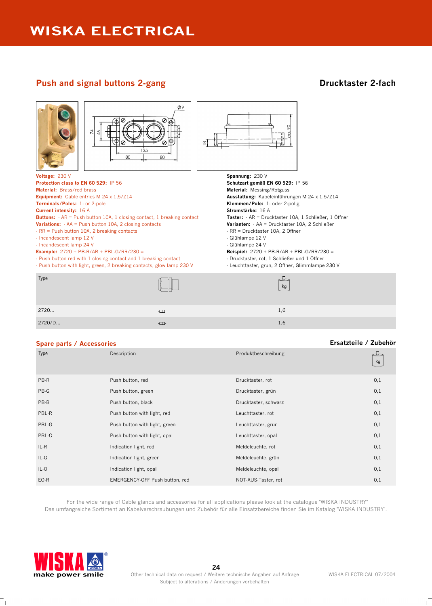# **Push and signal buttons 2-gang <b>Drucktaster 2-fach**



| 2720   | $-$ | ı<br>. |
|--------|-----|--------|
| 2720/D | ᆩ   | .      |

| <b>Spare parts / Accessories</b> |                                |                      | Ersatzteile / Zubehör |
|----------------------------------|--------------------------------|----------------------|-----------------------|
| Type                             | Description                    | Produktbeschreibung  | kg                    |
| PB-R                             | Push button, red               | Drucktaster, rot     | 0,1                   |
| PB-G                             | Push button, green             | Drucktaster, grün    | 0,1                   |
| PB-B                             | Push button, black             | Drucktaster, schwarz | 0,1                   |
| PBL-R                            | Push button with light, red    | Leuchttaster, rot    | 0,1                   |
| PBL-G                            | Push button with light, green  | Leuchttaster, grün   | 0,1                   |
| PBL-0                            | Push button with light, opal   | Leuchttaster, opal   | 0,1                   |
| $IL-R$                           | Indication light, red          | Meldeleuchte, rot    | 0,1                   |
| IL-G                             | Indication light, green        | Meldeleuchte, grün   | 0,1                   |
| $IL-O$                           | Indication light, opal         | Meldeleuchte, opal   | 0,1                   |
| $EO-R$                           | EMERGENCY-OFF Push button, red | NOT-AUS-Taster, rot  | 0,1                   |

For the wide range of Cable glands and accessories for all applications please look at the catalogue "WISKA INDUSTRY" Das umfangreiche Sortiment an Kabelverschraubungen und Zubehör für alle Einsatzbereiche finden Sie im Katalog "WISKA INDUSTRY".